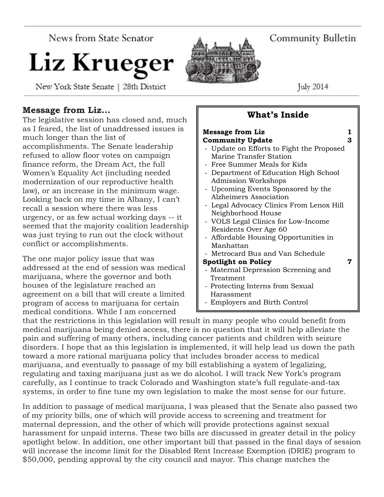News from State Senator

# Liz Krueger

New York State Senate | 28th District

Community Bulletin

July  $2014$ 

# **Message from Liz…**

The legislative session has closed and, much as I feared, the list of unaddressed issues is much longer than the list of accomplishments. The Senate leadership refused to allow floor votes on campaign finance reform, the Dream Act, the full Women's Equality Act (including needed modernization of our reproductive health law), or an increase in the minimum wage. Looking back on my time in Albany, I can't recall a session where there was less urgency, or as few actual working days -- it seemed that the majority coalition leadership was just trying to run out the clock without conflict or accomplishments.

The one major policy issue that was addressed at the end of session was medical marijuana, where the governor and both houses of the legislature reached an agreement on a bill that will create a limited program of access to marijuana for certain medical conditions. While I am concerned

# **What's Inside**

| <b>Message from Liz</b>                   | 1 |
|-------------------------------------------|---|
| <b>Community Update</b>                   | 3 |
| - Update on Efforts to Fight the Proposed |   |
| Marine Transfer Station                   |   |
| - Free Summer Meals for Kids              |   |
| - Department of Education High School     |   |
| <b>Admission Workshops</b>                |   |
| - Upcoming Events Sponsored by the        |   |
| Alzheimers Association                    |   |
| - Legal Advocacy Clinics From Lenox Hill  |   |
| Neighborhood House                        |   |
| - VOLS Legal Clinics for Low-Income       |   |
| Residents Over Age 60                     |   |
| - Affordable Housing Opportunities in     |   |
| Manhattan                                 |   |
| - Metrocard Bus and Van Schedule          |   |
| <b>Spotlight on Policy</b>                |   |
| - Maternal Depression Screening and       |   |
| Treatment                                 |   |
| - Protecting Interns from Sexual          |   |
| Harassment                                |   |
| - Employers and Birth Control             |   |
|                                           |   |

that the restrictions in this legislation will result in many people who could benefit from medical marijuana being denied access, there is no question that it will help alleviate the pain and suffering of many others, including cancer patients and children with seizure disorders. I hope that as this legislation is implemented, it will help lead us down the path toward a more rational marijuana policy that includes broader access to medical marijuana, and eventually to passage of my bill establishing a system of legalizing, regulating and taxing marijuana just as we do alcohol. I will track New York's program carefully, as I continue to track Colorado and Washington state's full regulate-and-tax systems, in order to fine tune my own legislation to make the most sense for our future.

In addition to passage of medical marijuana, I was pleased that the Senate also passed two of my priority bills, one of which will provide access to screening and treatment for maternal depression, and the other of which will provide protections against sexual harassment for unpaid interns. These two bills are discussed in greater detail in the policy spotlight below. In addition, one other important bill that passed in the final days of session will increase the income limit for the Disabled Rent Increase Exemption (DRIE) program to \$50,000, pending approval by the city council and mayor. This change matches the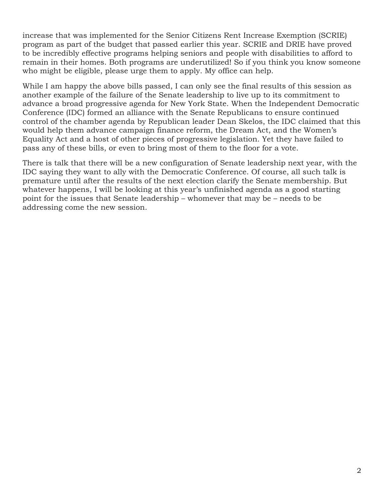increase that was implemented for the Senior Citizens Rent Increase Exemption (SCRIE) program as part of the budget that passed earlier this year. SCRIE and DRIE have proved to be incredibly effective programs helping seniors and people with disabilities to afford to remain in their homes. Both programs are underutilized! So if you think you know someone who might be eligible, please urge them to apply. My office can help.

While I am happy the above bills passed, I can only see the final results of this session as another example of the failure of the Senate leadership to live up to its commitment to advance a broad progressive agenda for New York State. When the Independent Democratic Conference (IDC) formed an alliance with the Senate Republicans to ensure continued control of the chamber agenda by Republican leader Dean Skelos, the IDC claimed that this would help them advance campaign finance reform, the Dream Act, and the Women's Equality Act and a host of other pieces of progressive legislation. Yet they have failed to pass any of these bills, or even to bring most of them to the floor for a vote.

There is talk that there will be a new configuration of Senate leadership next year, with the IDC saying they want to ally with the Democratic Conference. Of course, all such talk is premature until after the results of the next election clarify the Senate membership. But whatever happens, I will be looking at this year's unfinished agenda as a good starting point for the issues that Senate leadership – whomever that may be – needs to be addressing come the new session.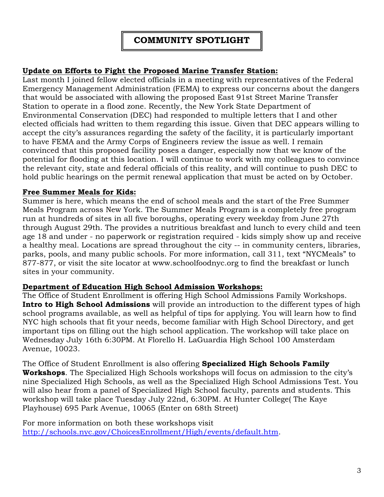# **COMMUNITY SPOTLIGHT**

#### **Update on Efforts to Fight the Proposed Marine Transfer Station:**

Last month I joined fellow elected officials in a meeting with representatives of the Federal Emergency Management Administration (FEMA) to express our concerns about the dangers that would be associated with allowing the proposed East 91st Street Marine Transfer Station to operate in a flood zone. Recently, the New York State Department of Environmental Conservation (DEC) had responded to multiple letters that I and other elected officials had written to them regarding this issue. Given that DEC appears willing to accept the city's assurances regarding the safety of the facility, it is particularly important to have FEMA and the Army Corps of Engineers review the issue as well. I remain convinced that this proposed facility poses a danger, especially now that we know of the potential for flooding at this location. I will continue to work with my colleagues to convince the relevant city, state and federal officials of this reality, and will continue to push DEC to hold public hearings on the permit renewal application that must be acted on by October.

#### **Free Summer Meals for Kids:**

Summer is here, which means the end of school meals and the start of the Free Summer Meals Program across New York. The Summer Meals Program is a completely free program run at hundreds of sites in all five boroughs, operating every weekday from June 27th through August 29th. The provides a nutritious breakfast and lunch to every child and teen age 18 and under - no paperwork or registration required - kids simply show up and receive a healthy meal. Locations are spread throughout the city -- in community centers, libraries, parks, pools, and many public schools. For more information, call 311, text "NYCMeals" to 877-877, or visit the site locator at www.schoolfoodnyc.org to find the breakfast or lunch sites in your community.

#### **Department of Education High School Admission Workshops:**

The Office of Student Enrollment is offering High School Admissions Family Workshops. **Intro to High School Admissions** will provide an introduction to the different types of high school programs available, as well as helpful of tips for applying. You will learn how to find NYC high schools that fit your needs, become familiar with High School Directory, and get important tips on filling out the high school application. The workshop will take place on Wednesday July 16th 6:30PM. At Florello H. LaGuardia High School 100 Amsterdam Avenue, 10023.

The Office of Student Enrollment is also offering **Specialized High Schools Family Workshops**. The Specialized High Schools workshops will focus on admission to the city's nine Specialized High Schools, as well as the Specialized High School Admissions Test. You will also hear from a panel of Specialized High School faculty, parents and students. This workshop will take place Tuesday July 22nd, 6:30PM. At Hunter College( The Kaye Playhouse) 695 Park Avenue, 10065 (Enter on 68th Street)

For more information on both these workshops visit [http://schools.nyc.gov/ChoicesEnrollment/High/events/default.htm.](http://schools.nyc.gov/ChoicesEnrollment/High/events/default.htm)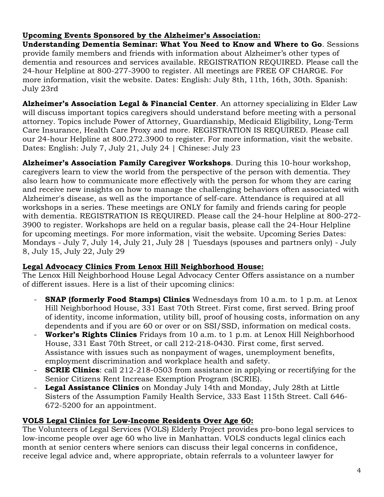# **Upcoming Events Sponsored by the Alzheimer's Association:**

**Understanding Dementia Seminar: What You Need to Know and Where to Go**. Sessions provide family members and friends with information about Alzheimer's other types of dementia and resources and services available. REGISTRATION REQUIRED. Please call the 24-hour Helpline at 800-277-3900 to register. All meetings are FREE OF CHARGE. For more information, visit the website. Dates: English: July 8th, 11th, 16th, 30th. Spanish: July 23rd

**Alzheimer's Association Legal & Financial Center**. An attorney specializing in Elder Law will discuss important topics caregivers should understand before meeting with a personal attorney. Topics include Power of Attorney, Guardianship, Medicaid Eligibility, Long-Term Care Insurance, Health Care Proxy and more. REGISTRATION IS REQUIRED. Please call our 24-hour Helpline at 800.272.3900 to register. For more information, visit the website. Dates: English: July 7, July 21, July 24 | Chinese: July 23

**Alzheimer's Association Family Caregiver Workshops**. During this 10-hour workshop, caregivers learn to view the world from the perspective of the person with dementia. They also learn how to communicate more effectively with the person for whom they are caring and receive new insights on how to manage the challenging behaviors often associated with Alzheimer's disease, as well as the importance of self-care. Attendance is required at all workshops in a series. These meetings are ONLY for family and friends caring for people with dementia. REGISTRATION IS REQUIRED. Please call the 24-hour Helpline at 800-272- 3900 to register. Workshops are held on a regular basis, please call the 24-Hour Helpline for upcoming meetings. For more information, visit the website. Upcoming Series Dates: Mondays - July 7, July 14, July 21, July 28 | Tuesdays (spouses and partners only) - July 8, July 15, July 22, July 29

#### **Legal Advocacy Clinics From Lenox Hill Neighborhood House:**

The Lenox Hill Neighborhood House Legal Advocacy Center Offers assistance on a number of different issues. Here is a list of their upcoming clinics:

- **SNAP (formerly Food Stamps) Clinics** Wednesdays from 10 a.m. to 1 p.m. at Lenox Hill Neighborhood House, 331 East 70th Street. First come, first served. Bring proof of identity, income information, utility bill, proof of housing costs, information on any dependents and if you are 60 or over or on SSI/SSD, information on medical costs.
- **Worker's Rights Clinics** Fridays from 10 a.m. to 1 p.m. at Lenox Hill Neighborhood House, 331 East 70th Street, or call 212-218-0430. First come, first served. Assistance with issues such as nonpayment of wages, unemployment benefits, employment discrimination and workplace health and safety.
- **SCRIE Clinics**: call 212-218-0503 from assistance in applying or recertifying for the Senior Citizens Rent Increase Exemption Program (SCRIE).
- **Legal Assistance Clinics** on Monday July 14th and Monday, July 28th at Little Sisters of the Assumption Family Health Service, 333 East 115th Street. Call 646- 672-5200 for an appointment.

### **VOLS Legal Clinics for Low-Income Residents Over Age 60:**

The Volunteers of Legal Services (VOLS) Elderly Project provides pro-bono legal services to low-income people over age 60 who live in Manhattan. VOLS conducts legal clinics each month at senior centers where seniors can discuss their legal concerns in confidence, receive legal advice and, where appropriate, obtain referrals to a volunteer lawyer for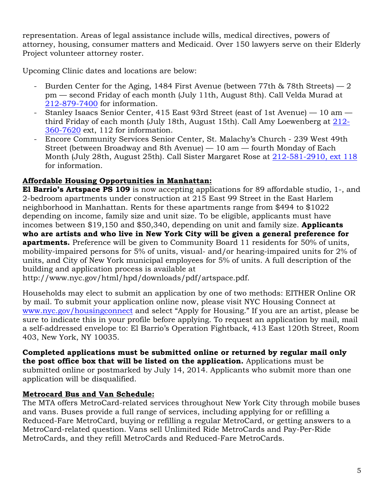representation. Areas of legal assistance include wills, medical directives, powers of attorney, housing, consumer matters and Medicaid. Over 150 lawyers serve on their Elderly Project volunteer attorney roster.

Upcoming Clinic dates and locations are below:

- Burden Center for the Aging, 1484 First Avenue (between 77th  $\&$  78th Streets) 2 pm — second Friday of each month (July 11th, August 8th). Call Velda Murad at [212-879-7400](tel:212-879-7400) for information.
- Stanley Isaacs Senior Center, 415 East 93rd Street (east of 1st Avenue) 10 am third Friday of each month (July 18th, August 15th). Call Amy Loewenberg at [212-](tel:212-360-7620) [360-7620](tel:212-360-7620) ext, 112 for information.
- Encore Community Services Senior Center, St. Malachy's Church 239 West 49th Street (between Broadway and 8th Avenue) — 10 am — fourth Monday of Each Month (July 28th, August 25th). Call Sister Margaret Rose at [212-581-2910, ext 118](tel:212-581-2910%2C%20ext%20118) for information.

# **Affordable Housing Opportunities in Manhattan:**

**El Barrio's Artspace PS 109** is now accepting applications for 89 affordable studio, 1-, and 2-bedroom apartments under construction at 215 East 99 Street in the East Harlem neighborhood in Manhattan. Rents for these apartments range from \$494 to \$1022 depending on income, family size and unit size. To be eligible, applicants must have incomes between \$19,150 and \$50,340, depending on unit and family size. **Applicants who are artists and who live in New York City will be given a general preference for apartments.** Preference will be given to Community Board 11 residents for 50% of units, mobility-impaired persons for 5% of units, visual- and/or hearing-impaired units for 2% of units, and City of New York municipal employees for 5% of units. A full description of the building and application process is available at

http://www.nyc.gov/html/hpd/downloads/pdf/artspace.pdf.

Households may elect to submit an application by one of two methods: EITHER Online OR by mail. To submit your application online now, please visit NYC Housing Connect at [www.nyc.gov/housingconnect](http://www.nyc.gov/housingconnect) and select "Apply for Housing." If you are an artist, please be sure to indicate this in your profile before applying. To request an application by mail, mail a self-addressed envelope to: El Barrio's Operation Fightback, 413 East 120th Street, Room 403, New York, NY 10035.

**Completed applications must be submitted online or returned by regular mail only the post office box that will be listed on the application.** Applications must be submitted online or postmarked by July 14, 2014. Applicants who submit more than one application will be disqualified.

### **Metrocard Bus and Van Schedule:**

The MTA offers MetroCard-related services throughout New York City through mobile buses and vans. Buses provide a full range of services, including applying for or refilling a Reduced-Fare MetroCard, buying or refilling a regular MetroCard, or getting answers to a MetroCard-related question. Vans sell Unlimited Ride MetroCards and Pay-Per-Ride MetroCards, and they refill MetroCards and Reduced-Fare MetroCards.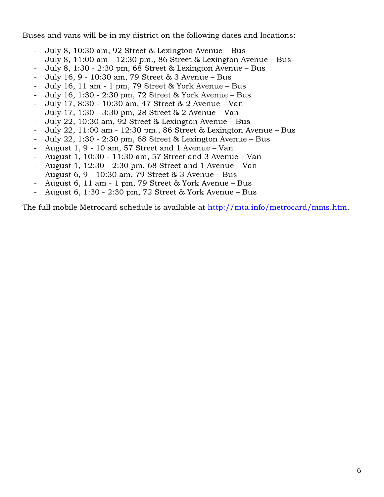Buses and vans will be in my district on the following dates and locations:

- July 8, 10:30 am, 92 Street & Lexington Avenue Bus
- July 8, 11:00 am 12:30 pm., 86 Street & Lexington Avenue Bus
- July 8, 1:30 2:30 pm, 68 Street & Lexington Avenue Bus
- July 16, 9 10:30 am, 79 Street & 3 Avenue Bus
- July 16, 11 am 1 pm, 79 Street & York Avenue Bus
- July 16, 1:30 2:30 pm, 72 Street & York Avenue Bus
- July 17, 8:30 10:30 am, 47 Street & 2 Avenue Van
- July 17, 1:30 3:30 pm, 28 Street & 2 Avenue Van
- July 22, 10:30 am, 92 Street & Lexington Avenue Bus
- July 22, 11:00 am 12:30 pm., 86 Street & Lexington Avenue Bus
- July 22, 1:30 2:30 pm, 68 Street & Lexington Avenue Bus
- August 1, 9 10 am, 57 Street and 1 Avenue Van
- August 1, 10:30 11:30 am, 57 Street and 3 Avenue Van
- August 1, 12:30 2:30 pm, 68 Street and 1 Avenue Van
- August 6, 9 10:30 am, 79 Street & 3 Avenue Bus
- August 6, 11 am 1 pm, 79 Street & York Avenue Bus
- August 6, 1:30 2:30 pm, 72 Street & York Avenue Bus

The full mobile Metrocard schedule is available at [http://mta.info/metrocard/mms.htm.](http://mta.info/metrocard/mms.htm)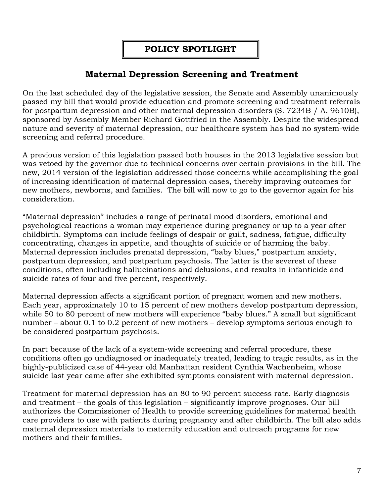# **POLICY SPOTLIGHT**

# **Maternal Depression Screening and Treatment**

On the last scheduled day of the legislative session, the Senate and Assembly unanimously passed my bill that would provide education and promote screening and treatment referrals for postpartum depression and other maternal depression disorders (S. 7234B / A. 9610B), sponsored by Assembly Member Richard Gottfried in the Assembly. Despite the widespread nature and severity of maternal depression, our healthcare system has had no system-wide screening and referral procedure.

A previous version of this legislation passed both houses in the 2013 legislative session but was vetoed by the governor due to technical concerns over certain provisions in the bill. The new, 2014 version of the legislation addressed those concerns while accomplishing the goal of increasing identification of maternal depression cases, thereby improving outcomes for new mothers, newborns, and families. The bill will now to go to the governor again for his consideration.

"Maternal depression" includes a range of perinatal mood disorders, emotional and psychological reactions a woman may experience during pregnancy or up to a year after childbirth. Symptoms can include feelings of despair or guilt, sadness, fatigue, difficulty concentrating, changes in appetite, and thoughts of suicide or of harming the baby. Maternal depression includes prenatal depression, "baby blues," postpartum anxiety, postpartum depression, and postpartum psychosis. The latter is the severest of these conditions, often including hallucinations and delusions, and results in infanticide and suicide rates of four and five percent, respectively.

Maternal depression affects a significant portion of pregnant women and new mothers. Each year, approximately 10 to 15 percent of new mothers develop postpartum depression, while 50 to 80 percent of new mothers will experience "baby blues." A small but significant number – about 0.1 to 0.2 percent of new mothers – develop symptoms serious enough to be considered postpartum psychosis.

In part because of the lack of a system-wide screening and referral procedure, these conditions often go undiagnosed or inadequately treated, leading to tragic results, as in the highly-publicized case of 44-year old Manhattan resident Cynthia Wachenheim, whose suicide last year came after she exhibited symptoms consistent with maternal depression.

Treatment for maternal depression has an 80 to 90 percent success rate. Early diagnosis and treatment – the goals of this legislation – significantly improve prognoses. Our bill authorizes the Commissioner of Health to provide screening guidelines for maternal health care providers to use with patients during pregnancy and after childbirth. The bill also adds maternal depression materials to maternity education and outreach programs for new mothers and their families.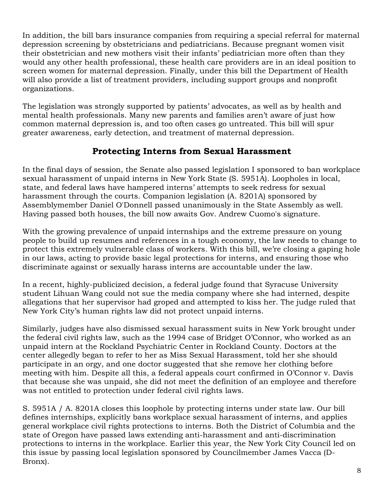In addition, the bill bars insurance companies from requiring a special referral for maternal depression screening by obstetricians and pediatricians. Because pregnant women visit their obstetrician and new mothers visit their infants' pediatrician more often than they would any other health professional, these health care providers are in an ideal position to screen women for maternal depression. Finally, under this bill the Department of Health will also provide a list of treatment providers, including support groups and nonprofit organizations.

The legislation was strongly supported by patients' advocates, as well as by health and mental health professionals. Many new parents and families aren't aware of just how common maternal depression is, and too often cases go untreated. This bill will spur greater awareness, early detection, and treatment of maternal depression.

# **Protecting Interns from Sexual Harassment**

In the final days of session, the Senate also passed legislation I sponsored to ban workplace sexual harassment of unpaid interns in New York State (S. 5951A). Loopholes in local, state, and federal laws have hampered interns' attempts to seek redress for sexual harassment through the courts. Companion legislation (A. 8201A) sponsored by Assemblymember Daniel O'Donnell passed unanimously in the State Assembly as well. Having passed both houses, the bill now awaits Gov. Andrew Cuomo's signature.

With the growing prevalence of unpaid internships and the extreme pressure on young people to build up resumes and references in a tough economy, the law needs to change to protect this extremely vulnerable class of workers. With this bill, we're closing a gaping hole in our laws, acting to provide basic legal protections for interns, and ensuring those who discriminate against or sexually harass interns are accountable under the law.

In a recent, highly-publicized decision, a federal judge found that Syracuse University student Lihuan Wang could not sue the media company where she had interned, despite allegations that her supervisor had groped and attempted to kiss her. The judge ruled that New York City's human rights law did not protect unpaid interns.

Similarly, judges have also dismissed sexual harassment suits in New York brought under the federal civil rights law, such as the 1994 case of Bridget O'Connor, who worked as an unpaid intern at the Rockland Psychiatric Center in Rockland County. Doctors at the center allegedly began to refer to her as Miss Sexual Harassment, told her she should participate in an orgy, and one doctor suggested that she remove her clothing before meeting with him. Despite all this, a federal appeals court confirmed in O'Connor v. Davis that because she was unpaid, she did not meet the definition of an employee and therefore was not entitled to protection under federal civil rights laws.

S. 5951A / A. 8201A closes this loophole by protecting interns under state law. Our bill defines internships, explicitly bans workplace sexual harassment of interns, and applies general workplace civil rights protections to interns. Both the District of Columbia and the state of Oregon have passed laws extending anti-harassment and anti-discrimination protections to interns in the workplace. Earlier this year, the New York City Council led on this issue by passing local legislation sponsored by Councilmember James Vacca (D-Bronx).